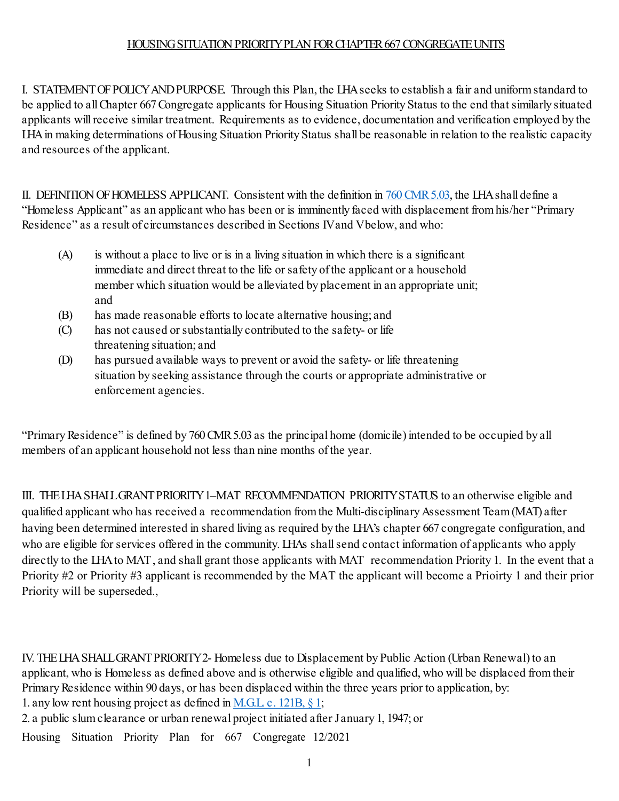## HOUSING SITUATION PRIORITYPLAN FORCHAPTER 667 CONGREGATE UNITS

I. STATEMENT OF POLICY AND PURPOSE. Through this Plan, the LHA seeks to establish a fair and uniform standard to be applied to all Chapter 667 Congregate applicants for Housing Situation Priority Status to the end that similarly situated applicants will receive similar treatment. Requirements as to evidence, documentation and verification employed by the LHA in making determinations of Housing Situation Priority Status shall be reasonable in relation to the realistic capacity and resources of the applicant.

II. DEFINITION OF HOMELESS APPLICANT. Consistent with the definition i[n 760 CMR 5.03,](https://www.mass.gov/doc/760-cmr-5-eligibility-and-selection-criteria/download) the LHA shall define a "Homeless Applicant" as an applicant who has been or is imminently faced with displacement from his/her "Primary Residence" as a result of circumstances described in Sections IV and Vbelow, and who:

- (A) is without a place to live or is in a living situation in which there is a significant immediate and direct threat to the life or safety of the applicant or a household member which situation would be alleviated by placement in an appropriate unit; and
- (B) has made reasonable efforts to locate alternative housing; and
- (C) has not caused or substantially contributed to the safety- or life threatening situation; and
- (D) has pursued available ways to prevent or avoid the safety- or life threatening situation by seeking assistance through the courts or appropriate administrative or enforcement agencies.

"Primary Residence" is defined by 760 CMR 5.03 as the principal home (domicile) intended to be occupied by all members of an applicant household not less than nine months of the year.

III. THE LHA SHALL GRANT PRIORITY1–MAT RECOMMENDATION PRIORITYSTATUS to an otherwise eligible and qualified applicant who has received a recommendation from the Multi-disciplinary Assessment Team(MAT) after having been determined interested in shared living as required by the LHA's chapter 667 congregate configuration, and who are eligible for services offered in the community. LHAs shall send contact information of applicants who apply directly to the LHA to MAT , and shall grant those applicants with MAT recommendation Priority 1. In the event that a Priority #2 or Priority #3 applicant is recommended by the MAT the applicant will become a Prioirty 1 and their prior Priority will be superseded.,

IV. THE LHA SHALL GRANT PRIORITY 2- Homeless due to Displacement by Public Action (Urban Renewal) to an applicant, who is Homeless as defined above and is otherwise eligible and qualified, who will be displaced from their Primary Residence within 90 days, or has been displaced within the three years prior to application, by:

1. any low rent housing project as defined in <u>M.G.L. c. 121B, § 1</u>;

2. a public slum clearance or urban renewal project initiated after January 1, 1947; or

Housing Situation Priority Plan for 667 Congregate 12/2021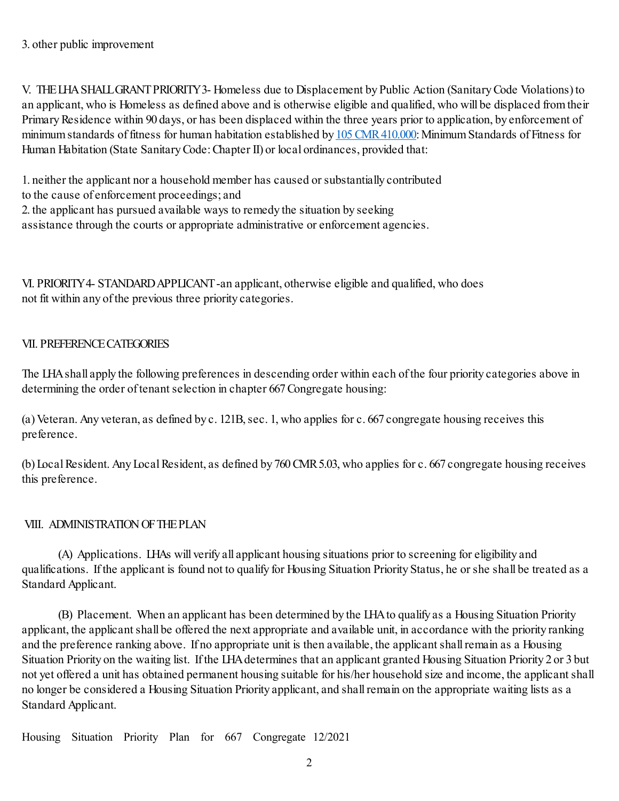V. THE LHA SHALL GRANT PRIORITY 3- Homeless due to Displacement by Public Action (Sanitary Code Violations)to an applicant, who is Homeless as defined above and is otherwise eligible and qualified, who will be displaced from their Primary Residence within 90 days, or has been displaced within the three years prior to application, by enforcement of minimum standards of fitness for human habitation established b[y 105 CMR 410.000:](https://www.mass.gov/doc/105-cmr-410-state-sanitary-code-chapter-ii-minimum-standards-of-fitness-for-human-habitation/download) Minimum Standards of Fitness for Human Habitation (State Sanitary Code: Chapter II) or local ordinances, provided that:

1. neither the applicant nor a household member has caused or substantially contributed

to the cause of enforcement proceedings; and

2. the applicant has pursued available ways to remedy the situation by seeking

assistance through the courts or appropriate administrative or enforcement agencies.

VI. PRIORITY 4- STANDARD APPLICANT-an applicant, otherwise eligible and qualified, who does not fit within any of the previous three priority categories.

## VII. PREFERENCE CATEGORIES

The LHA shall apply the following preferences in descending order within each of the four priority categories above in determining the order of tenant selection in chapter 667 Congregate housing:

(a) Veteran. Any veteran, as defined by c. 121B, sec. 1, who applies for c. 667 congregate housing receives this preference.

(b) Local Resident. Any Local Resident, as defined by 760 CMR 5.03, who applies for c. 667 congregate housing receives this preference.

## VIII. ADMINISTRATION OF THE PLAN

(A) Applications. LHAs will verify all applicant housing situations prior to screening for eligibility and qualifications. If the applicant is found not to qualify for Housing Situation Priority Status, he or she shall be treated as a Standard Applicant.

(B) Placement. When an applicant has been determined by the LHA to qualify as a Housing Situation Priority applicant, the applicant shall be offered the next appropriate and available unit, in accordance with the priority ranking and the preference ranking above. If no appropriate unit is then available, the applicant shall remain as a Housing Situation Priority on the waiting list. If the LHA determines that an applicant granted Housing Situation Priority 2 or 3 but not yet offered a unit has obtained permanent housing suitable for his/her household size and income, the applicant shall no longer be considered a Housing Situation Priority applicant, and shall remain on the appropriate waiting lists as a Standard Applicant.

Housing Situation Priority Plan for 667 Congregate 12/2021